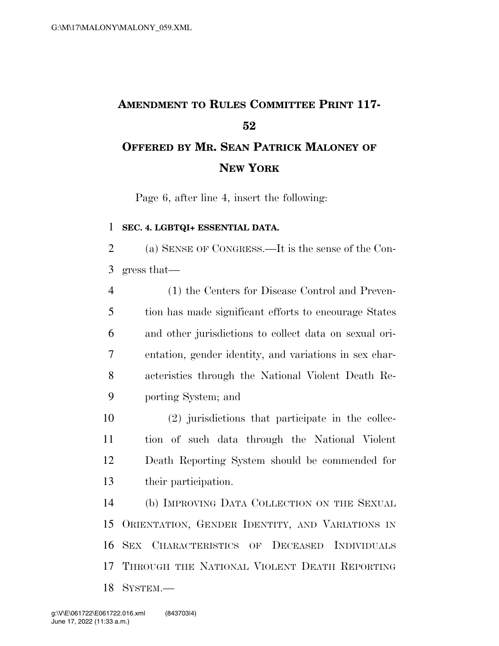## **AMENDMENT TO RULES COMMITTEE PRINT 117- OFFERED BY MR. SEAN PATRICK MALONEY OF NEW YORK**

Page 6, after line 4, insert the following:

## **SEC. 4. LGBTQI+ ESSENTIAL DATA.**

 (a) SENSE OF CONGRESS.—It is the sense of the Con-gress that—

 (1) the Centers for Disease Control and Preven- tion has made significant efforts to encourage States and other jurisdictions to collect data on sexual ori- entation, gender identity, and variations in sex char- acteristics through the National Violent Death Re-porting System; and

 (2) jurisdictions that participate in the collec- tion of such data through the National Violent Death Reporting System should be commended for their participation.

 (b) IMPROVING DATA COLLECTION ON THE SEXUAL ORIENTATION, GENDER IDENTITY, AND VARIATIONS IN SEX CHARACTERISTICS OF DECEASED INDIVIDUALS THROUGH THE NATIONAL VIOLENT DEATH REPORTING SYSTEM.—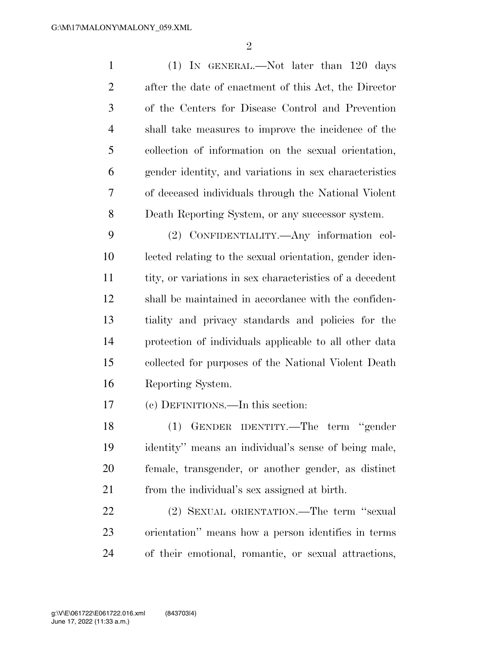(1) IN GENERAL.—Not later than 120 days after the date of enactment of this Act, the Director of the Centers for Disease Control and Prevention shall take measures to improve the incidence of the collection of information on the sexual orientation, gender identity, and variations in sex characteristics of deceased individuals through the National Violent Death Reporting System, or any successor system.

 (2) CONFIDENTIALITY.—Any information col- lected relating to the sexual orientation, gender iden- tity, or variations in sex characteristics of a decedent shall be maintained in accordance with the confiden- tiality and privacy standards and policies for the protection of individuals applicable to all other data collected for purposes of the National Violent Death Reporting System.

(c) DEFINITIONS.—In this section:

 (1) GENDER IDENTITY.—The term ''gender identity'' means an individual's sense of being male, female, transgender, or another gender, as distinct from the individual's sex assigned at birth.

 (2) SEXUAL ORIENTATION.—The term ''sexual orientation'' means how a person identifies in terms of their emotional, romantic, or sexual attractions,